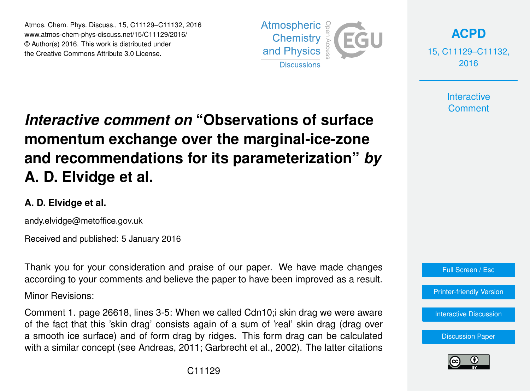Atmos. Chem. Phys. Discuss., 15, C11129–C11132, 2016 www.atmos-chem-phys-discuss.net/15/C11129/2016/ © Author(s) 2016. This work is distributed under the Creative Commons Attribute 3.0 License.



**[ACPD](http://www.atmos-chem-phys-discuss.net)**

15, C11129–C11132, 2016

> **Interactive Comment**

## *Interactive comment on* **"Observations of surface momentum exchange over the marginal-ice-zone and recommendations for its parameterization"** *by* **A. D. Elvidge et al.**

## **A. D. Elvidge et al.**

andy.elvidge@metoffice.gov.uk

Received and published: 5 January 2016

Thank you for your consideration and praise of our paper. We have made changes according to your comments and believe the paper to have been improved as a result.

Minor Revisions:

Comment 1. page 26618, lines 3-5: When we called Cdn10;i skin drag we were aware of the fact that this 'skin drag' consists again of a sum of 'real' skin drag (drag over a smooth ice surface) and of form drag by ridges. This form drag can be calculated with a similar concept (see Andreas, 2011; Garbrecht et al., 2002). The latter citations



[Interactive Discussion](http://www.atmos-chem-phys-discuss.net/15/26609/2015/acpd-15-26609-2015-discussion.html)

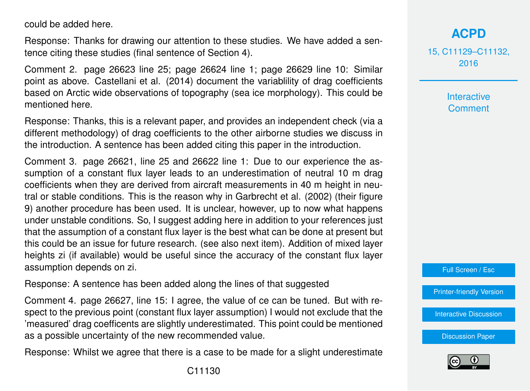could be added here.

Response: Thanks for drawing our attention to these studies. We have added a sentence citing these studies (final sentence of Section 4).

Comment 2. page 26623 line 25; page 26624 line 1; page 26629 line 10: Similar point as above. Castellani et al. (2014) document the variablility of drag coefficients based on Arctic wide observations of topography (sea ice morphology). This could be mentioned here.

Response: Thanks, this is a relevant paper, and provides an independent check (via a different methodology) of drag coefficients to the other airborne studies we discuss in the introduction. A sentence has been added citing this paper in the introduction.

Comment 3. page 26621, line 25 and 26622 line 1: Due to our experience the assumption of a constant flux layer leads to an underestimation of neutral 10 m drag coefficients when they are derived from aircraft measurements in 40 m height in neutral or stable conditions. This is the reason why in Garbrecht et al. (2002) (their figure 9) another procedure has been used. It is unclear, however, up to now what happens under unstable conditions. So, I suggest adding here in addition to your references just that the assumption of a constant flux layer is the best what can be done at present but this could be an issue for future research. (see also next item). Addition of mixed layer heights zi (if available) would be useful since the accuracy of the constant flux layer assumption depends on zi.

Response: A sentence has been added along the lines of that suggested

Comment 4. page 26627, line 15: I agree, the value of ce can be tuned. But with respect to the previous point (constant flux layer assumption) I would not exclude that the 'measured' drag coefficents are slightly underestimated. This point could be mentioned as a possible uncertainty of the new recommended value.

Response: Whilst we agree that there is a case to be made for a slight underestimate

15, C11129–C11132, 2016

> Interactive **Comment**

Full Screen / Esc

[Printer-friendly Version](http://www.atmos-chem-phys-discuss.net/15/C11129/2016/acpd-15-C11129-2016-print.pdf)

[Interactive Discussion](http://www.atmos-chem-phys-discuss.net/15/26609/2015/acpd-15-26609-2015-discussion.html)

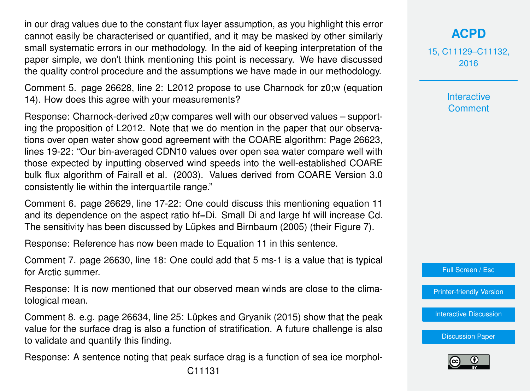in our drag values due to the constant flux layer assumption, as you highlight this error cannot easily be characterised or quantified, and it may be masked by other similarly small systematic errors in our methodology. In the aid of keeping interpretation of the paper simple, we don't think mentioning this point is necessary. We have discussed the quality control procedure and the assumptions we have made in our methodology.

Comment 5. page 26628, line 2: L2012 propose to use Charnock for z0;w (equation 14). How does this agree with your measurements?

Response: Charnock-derived z0;w compares well with our observed values – supporting the proposition of L2012. Note that we do mention in the paper that our observations over open water show good agreement with the COARE algorithm: Page 26623, lines 19-22: "Our bin-averaged CDN10 values over open sea water compare well with those expected by inputting observed wind speeds into the well-established COARE bulk flux algorithm of Fairall et al. (2003). Values derived from COARE Version 3.0 consistently lie within the interquartile range."

Comment 6. page 26629, line 17-22: One could discuss this mentioning equation 11 and its dependence on the aspect ratio hf=Di. Small Di and large hf will increase Cd. The sensitivity has been discussed by Lüpkes and Birnbaum (2005) (their Figure 7).

Response: Reference has now been made to Equation 11 in this sentence.

Comment 7. page 26630, line 18: One could add that 5 ms-1 is a value that is typical for Arctic summer.

Response: It is now mentioned that our observed mean winds are close to the climatological mean.

Comment 8. e.g. page 26634, line 25: Lüpkes and Gryanik (2015) show that the peak value for the surface drag is also a function of stratification. A future challenge is also to validate and quantify this finding.

Response: A sentence noting that peak surface drag is a function of sea ice morphol-

15, C11129–C11132, 2016

> Interactive **Comment**

Full Screen / Esc

[Printer-friendly Version](http://www.atmos-chem-phys-discuss.net/15/C11129/2016/acpd-15-C11129-2016-print.pdf)

[Interactive Discussion](http://www.atmos-chem-phys-discuss.net/15/26609/2015/acpd-15-26609-2015-discussion.html)